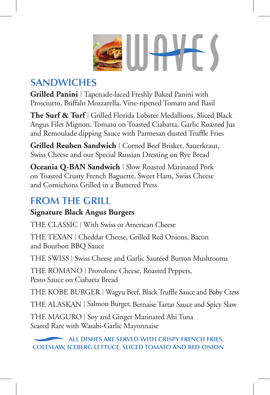

# **Sandwiches**

**Grilled Panini** | Tapenade-laced Freshly Baked Panini with Prosciutto, Buffalo Mozzarella, Vine-ripened Tomato and Basil

**The Surf & Turf** | Grilled Florida Lobster Medallions, Sliced Black Angus Filet Mignon, Tomato on Toasted Ciabatta, Garlic Roasted Jus and Remoulade dipping Sauce with Parmesan dusted Truffle Fries

**Grilled Reuben Sandwich** | Corned Beef Brisket, Sauerkraut, Swiss Cheese and our Special Russian Dressing on Rye Bread

**Oceania Q-BAN Sandwich** | Slow Roasted Marinated Pork on Toasted Crusty French Baguette, Sweet Ham, Swiss Cheese and Cornichons Grilled in a Buttered Press

# **FROM THE GRILL**

### **Signature Black Angus Burgers**

The Classic | With Swiss or American Cheese

The Texan | Cheddar Cheese, Grilled Red Onions, Bacon and Bourbon BBQ Sauce

The Swiss | Swiss Cheese and Garlic Sautéed Button Mushrooms

The Romano | Provolone Cheese, Roasted Peppers, Pesto Sauce on Ciabatta Bread

THE KOBE BURGER | Wagyu Beef, Black Truffle Sauce and Baby Cress

THE ALASKAN | Salmon Burger, Bernaise Tartar Sauce and Spicy Slaw

The Maguro | Soy and Ginger Marinated Ahi Tuna Seared Rare with Wasabi-Garlic Mayonnaise

**All Dishes are served with Crispy French Fries, Coleslaw, Iceberg Lettuce, Sliced Tomato and Red Onion**